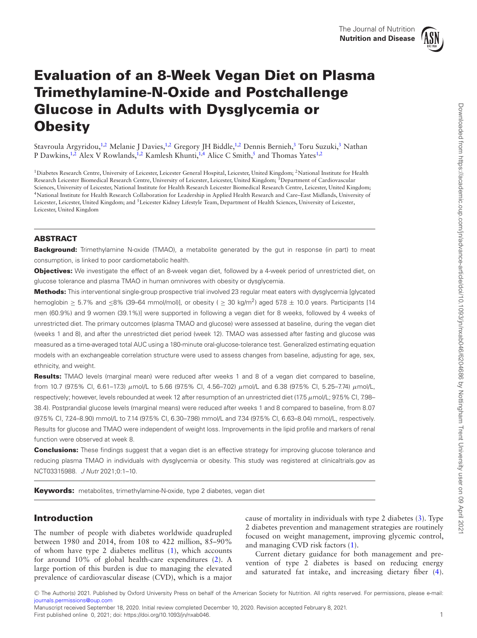<span id="page-0-2"></span><span id="page-0-1"></span>

# **Evaluation of an 8-Week Vegan Diet on Plasma Trimethylamine-N-Oxide and Postchallenge Glucose in Adults with Dysglycemia or Obesity**

Stavroula Argyridou,<sup>1,[2](#page-0-1)</sup> Melanie J Davies,<sup>1[,2](#page-0-1)</sup> Gregory JH Biddle,<sup>1,2</sup> Dennis Bernieh,<sup>3</sup> Toru Suzuki,<sup>3</sup> Nathan P Dawkins,<sup>1[,2](#page-0-1)</sup> Alex V Rowlands,<sup>1,2</sup> Kamlesh Khunti,<sup>1[,4](#page-0-3)</sup> Alice C Smith,<sup>5</sup> and Thomas Yates<sup>[1](#page-0-0),2</sup>

<span id="page-0-4"></span><span id="page-0-3"></span><span id="page-0-0"></span><sup>1</sup>Diabetes Research Centre, University of Leicester, Leicester General Hospital, Leicester, United Kingdom; <sup>2</sup>National Institute for Health Research Leicester Biomedical Research Centre, University of Leicester, Leicester, United Kingdom; 3Department of Cardiovascular Sciences, University of Leicester, National Institute for Health Research Leicester Biomedical Research Centre, Leicester, United Kingdom; 4National Institute for Health Research Collaboration for Leadership in Applied Health Research and Care–East Midlands, University of Leicester, Leicester, United Kingdom; and <sup>5</sup>Leicester Kidney Lifestyle Team, Department of Health Sciences, University of Leicester, Leicester, United Kingdom

# **ABSTRACT**

**Background:** Trimethylamine N-oxide (TMAO), a metabolite generated by the gut in response (in part) to meat consumption, is linked to poor cardiometabolic health.

**Objectives:** We investigate the effect of an 8-week vegan diet, followed by a 4-week period of unrestricted diet, on glucose tolerance and plasma TMAO in human omnivores with obesity or dysglycemia.

**Methods:** This interventional single-group prospective trial involved 23 regular meat eaters with dysglycemia [glycated hemoglobin ≥ 5.7% and ≤8% (39–64 mmol/mol)], or obesity ( ≥ 30 kg/m<sup>2</sup>) aged 57.8 ± 10.0 years. Participants [14 men (60.9%) and 9 women (39.1%)] were supported in following a vegan diet for 8 weeks, followed by 4 weeks of unrestricted diet. The primary outcomes (plasma TMAO and glucose) were assessed at baseline, during the vegan diet (weeks 1 and 8), and after the unrestricted diet period (week 12). TMAO was assessed after fasting and glucose was measured as a time-averaged total AUC using a 180-minute oral-glucose-tolerance test. Generalized estimating equation models with an exchangeable correlation structure were used to assess changes from baseline, adjusting for age, sex, ethnicity, and weight.

**Results:** TMAO levels (marginal mean) were reduced after weeks 1 and 8 of a vegan diet compared to baseline, from 10.7 (97.5% CI, 6.61–17.3)  $\mu$ mol/L to 5.66 (97.5% CI, 4.56–7.02)  $\mu$ mol/L and 6.38 (97.5% CI, 5.25–7.74)  $\mu$ mol/L, respectively; however, levels rebounded at week 12 after resumption of an unrestricted diet (17.5 μmol/L; 97.5% CI, 7.98– 38.4). Postprandial glucose levels (marginal means) were reduced after weeks 1 and 8 compared to baseline, from 8.07 (97.5% CI, 7.24–8.90) mmol/L to 7.14 (97.5% CI, 6.30–7.98) mmol/L and 7.34 (97.5% CI, 6.63–8.04) mmol/L, respectively. Results for glucose and TMAO were independent of weight loss. Improvements in the lipid profile and markers of renal function were observed at week 8.

**Conclusions:** These findings suggest that a vegan diet is an effective strategy for improving glucose tolerance and reducing plasma TMAO in individuals with dysglycemia or obesity. This study was registered at clinicaltrials.gov as NCT03315988. J Nutr 2021;0:1–10.

**Keywords:** metabolites, trimethylamine-N-oxide, type 2 diabetes, vegan diet

# **Introduction**

The number of people with diabetes worldwide quadrupled between 1980 and 2014, from 108 to 422 million, 85–90% of whom have type 2 diabetes mellitus [\(1\)](#page-8-0), which accounts for around 10% of global health-care expenditures [\(2\)](#page-8-1). A large portion of this burden is due to managing the elevated prevalence of cardiovascular disease (CVD), which is a major

cause of mortality in individuals with type 2 diabetes [\(3\)](#page-8-2). Type 2 diabetes prevention and management strategies are routinely focused on weight management, improving glycemic control, and managing CVD risk factors [\(1\)](#page-8-0).

Current dietary guidance for both management and prevention of type 2 diabetes is based on reducing energy and saturated fat intake, and increasing dietary fiber [\(4\)](#page-8-3).

<sup>C</sup> The Author(s) 2021. Published by Oxford University Press on behalf of the American Society for Nutrition. All rights reserved. For permissions, please e-mail: [journals.permissions@oup.com](mailto:journals.permissions@oup.com)

Manuscript received September 18, 2020. Initial review completed December 10, 2020. Revision accepted February 8, 2021. First published online 0, 2021; doi: https://doi.org/10.1093/jn/nxab046. 1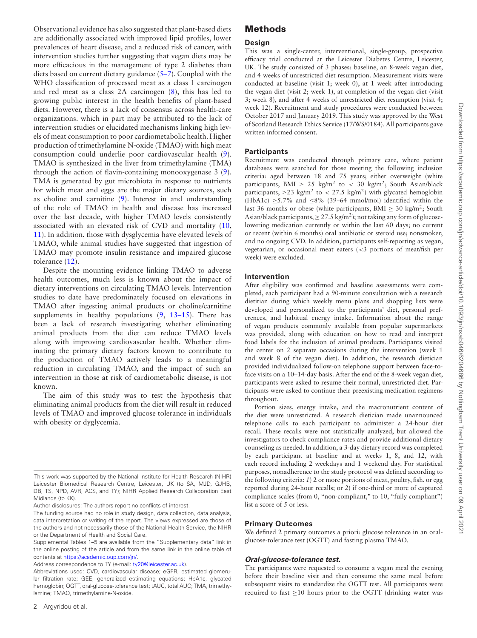Observational evidence has also suggested that plant-based diets are additionally associated with improved lipid profiles, lower prevalences of heart disease, and a reduced risk of cancer, with intervention studies further suggesting that vegan diets may be more efficacious in the management of type 2 diabetes than diets based on current dietary guidance [\(5–7\)](#page-8-4). Coupled with the WHO classification of processed meat as a class 1 carcinogen and red meat as a class 2A carcinogen [\(8\)](#page-8-5), this has led to growing public interest in the health benefits of plant-based diets. However, there is a lack of consensus across health-care organizations. which in part may be attributed to the lack of intervention studies or elucidated mechanisms linking high levels of meat consumption to poor cardiometabolic health. Higher production of trimethylamine N-oxide (TMAO) with high meat consumption could underlie poor cardiovascular health [\(9\)](#page-8-6). TMAO is synthesized in the liver from trimethylamine (TMA) through the action of flavin-containing monooxygenase 3 [\(9\)](#page-8-6). TMA is generated by gut microbiota in response to nutrients for which meat and eggs are the major dietary sources, such as choline and carnitine [\(9\)](#page-8-6). Interest in and understanding of the role of TMAO in health and disease has increased over the last decade, with higher TMAO levels consistently associated with an elevated risk of CVD and mortality [\(10,](#page-8-7) [11\)](#page-8-8). In addition, those with dysglycemia have elevated levels of TMAO, while animal studies have suggested that ingestion of TMAO may promote insulin resistance and impaired glucose tolerance [\(12\)](#page-8-9).

Despite the mounting evidence linking TMAO to adverse health outcomes, much less is known about the impact of dietary interventions on circulating TMAO levels. Intervention studies to date have predominately focused on elevations in TMAO after ingesting animal products or choline/carnitine supplements in healthy populations  $(9, 13-15)$  $(9, 13-15)$ . There has been a lack of research investigating whether eliminating animal products from the diet can reduce TMAO levels along with improving cardiovascular health. Whether eliminating the primary dietary factors known to contribute to the production of TMAO actively leads to a meaningful reduction in circulating TMAO, and the impact of such an intervention in those at risk of cardiometabolic disease, is not known.

The aim of this study was to test the hypothesis that eliminating animal products from the diet will result in reduced levels of TMAO and improved glucose tolerance in individuals with obesity or dyglycemia.

Address correspondence to TY (e-mail: [ty20@leicester.ac.uk\)](mailto:ty20@le.ac.uk).

# **Methods**

#### **Design**

This was a single-center, interventional, single-group, prospective efficacy trial conducted at the Leicester Diabetes Centre, Leicester, UK. The study consisted of 3 phases: baseline, an 8-week vegan diet, and 4 weeks of unrestricted diet resumption. Measurement visits were conducted at baseline (visit 1; week 0), at 1 week after introducing the vegan diet (visit 2; week 1), at completion of the vegan diet (visit 3; week 8), and after 4 weeks of unrestricted diet resumption (visit 4; week 12). Recruitment and study procedures were conducted between October 2017 and January 2019. This study was approved by the West of Scotland Research Ethics Service (17/WS/0184). All participants gave written informed consent.

#### **Participants**

Recruitment was conducted through primary care, where patient databases were searched for those meeting the following inclusion criteria: aged between 18 and 75 years; either overweight (white participants, BMI  $\geq$  25 kg/m<sup>2</sup> to < 30 kg/m<sup>2</sup>; South Asian/black participants,  $\geq$  23 kg/m<sup>2</sup> to < 27.5 kg/m<sup>2</sup>) with glycated hemoglobin (HbA1c)  $\geq$ 5.7% and  $\leq$ 8% (39–64 mmol/mol) identified within the last 36 months or obese (white participants, BMI  $\geq$  30 kg/m<sup>2</sup>; South Asian/black participants,  $\geq$  27.5 kg/m<sup>2</sup>); not taking any form of glucoselowering medication currently or within the last 60 days; no current or recent (within 6 months) oral antibiotic or steroid use; nonsmoker; and no ongoing CVD. In addition, participants self-reporting as vegan, vegetarian, or occasional meat eaters (<3 portions of meat/fish per week) were excluded.

#### **Intervention**

After eligibility was confirmed and baseline assessments were completed, each participant had a 90-minute consultation with a research dietitian during which weekly menu plans and shopping lists were developed and personalized to the participants' diet, personal preferences, and habitual energy intake. Information about the range of vegan products commonly available from popular supermarkets was provided, along with education on how to read and interpret food labels for the inclusion of animal products. Participants visited the center on 2 separate occasions during the intervention (week 1 and week 8 of the vegan diet). In addition, the research dietician provided individualized follow-on telephone support between face-toface visits on a 10–14-day basis. After the end of the 8-week vegan diet, participants were asked to resume their normal, unrestricted diet. Participants were asked to continue their preexisting medication regimens throughout.

Portion sizes, energy intake, and the macronutrient content of the diet were unrestricted. A research dietician made unannounced telephone calls to each participant to administer a 24-hour diet recall. These recalls were not statistically analyzed, but allowed the investigators to check compliance rates and provide additional dietary counseling as needed. In addition, a 3-day dietary record was completed by each participant at baseline and at weeks 1, 8, and 12, with each record including 2 weekdays and 1 weekend day. For statistical purposes, nonadherence to the study protocol was defined according to the following criteria: *1*) 2 or more portions of meat, poultry, fish, or egg reported during 24-hour recalls; or *2*) if one-third or more of captured compliance scales (from 0, "non-compliant," to 10, "fully compliant") list a score of 5 or less.

#### **Primary Outcomes**

We defined 2 primary outcomes a priori: glucose tolerance in an oralglucose-tolerance test (OGTT) and fasting plasma TMAO.

#### *Oral-glucose-tolerance test.*

The participants were requested to consume a vegan meal the evening before their baseline visit and then consume the same meal before subsequent visits to standardize the OGTT test. All participants were required to fast  $\geq$ 10 hours prior to the OGTT (drinking water was

This work was supported by the National Institute for Health Research (NIHR) Leicester Biomedical Research Centre, Leicester, UK (to SA, MJD, GJHB, DB, TS, NPD, AVR, ACS, and TY); NIHR Applied Research Collaboration East Midlands (to KK).

Author disclosures: The authors report no conflicts of interest.

The funding source had no role in study design, data collection, data analysis, data interpretation or writing of the report. The views expressed are those of the authors and not necessarily those of the National Health Service, the NIHR or the Department of Health and Social Care.

Supplemental Tables 1–5 are available from the "Supplementary data" link in the online posting of the article and from the same link in the online table of contents at [https://academic.oup.com/jn/.](https://academic.oup.com/jn/)

Abbreviations used: CVD, cardiovascular disease; eGFR, estimated glomerular filtration rate; GEE, generalized estimating equations; HbA1c, glycated hemoglobin; OGTT, oral-glucose-tolerance test; tAUC, total AUC; TMA, trimethylamine; TMAO, trimethylamine-N-oxide.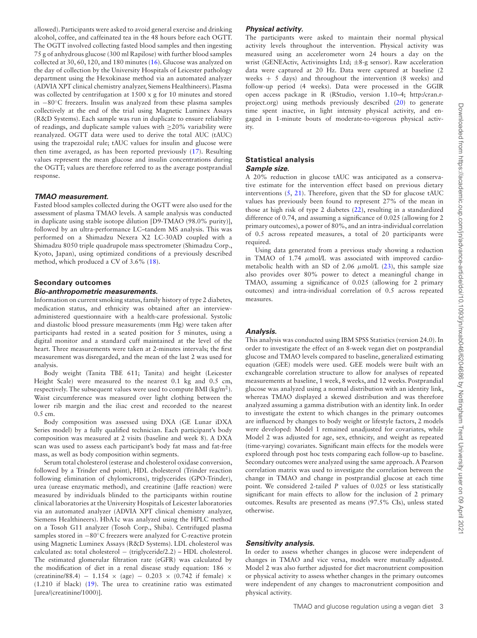allowed). Participants were asked to avoid general exercise and drinking alcohol, coffee, and caffeinated tea in the 48 hours before each OGTT. The OGTT involved collecting fasted blood samples and then ingesting 75 g of anhydrous glucose (300 ml Rapilose) with further blood samples collected at 30, 60, 120, and 180 minutes [\(16\)](#page-8-11). Glucose was analyzed on the day of collection by the University Hospitals of Leicester pathology department using the Hexokinase method via an automated analyzer (ADVIA XPT clinical chemistry analyzer, Siemens Healthineers). Plasma was collected by centrifugation at 1500 x g for 10 minutes and stored in −80◦C freezers. Insulin was analyzed from these plasma samples collectively at the end of the trial using Magnetic Luminex Assays (R&D Systems). Each sample was run in duplicate to ensure reliability of readings, and duplicate sample values with ≥20% variability were reanalyzed. OGTT data were used to derive the total AUC (tAUC) using the trapezoidal rule; tAUC values for insulin and glucose were then time averaged, as has been reported previously [\(17\)](#page-8-12). Resulting values represent the mean glucose and insulin concentrations during the OGTT; values are therefore referred to as the average postprandial response.

#### *TMAO measurement.*

Fasted blood samples collected during the OGTT were also used for the assessment of plasma TMAO levels. A sample analysis was conducted in duplicate using stable isotope dilution [D9-TMAO (98.0% purity)], followed by an ultra-performance LC–tandem MS analysis. This was performed on a Shimadzu Nexera X2 LC-30AD coupled with a Shimadzu 8050 triple quadrupole mass spectrometer (Shimadzu Corp., Kyoto, Japan), using optimized conditions of a previously described method, which produced a CV of 3.6% [\(18\)](#page-8-13).

# **Secondary outcomes**

#### *Bio-anthropometric measurements.*

Information on current smoking status, family history of type 2 diabetes, medication status, and ethnicity was obtained after an interviewadministered questionnaire with a health-care professional. Systolic and diastolic blood pressure measurements (mm Hg) were taken after participants had rested in a seated position for 5 minutes, using a digital monitor and a standard cuff maintained at the level of the heart. Three measurements were taken at 2-minutes intervals; the first measurement was disregarded, and the mean of the last 2 was used for analysis.

Body weight (Tanita TBE 611; Tanita) and height (Leicester Height Scale) were measured to the nearest 0.1 kg and 0.5 cm, respectively. The subsequent values were used to compute BMI ( $\text{kg/m}^2$ ). Waist circumference was measured over light clothing between the lower rib margin and the iliac crest and recorded to the nearest 0.5 cm.

Body composition was assessed using DXA (GE Lunar iDXA Series model) by a fully qualified technician. Each participant's body composition was measured at 2 visits (baseline and week 8). A DXA scan was used to assess each participant's body fat mass and fat-free mass, as well as body composition within segments.

Serum total cholesterol (esterase and cholesterol oxidase conversion, followed by a Trinder end point), HDL cholesterol (Trinder reaction following elimination of chylomicrons), triglycerides (GPO-Trinder), urea (urease enzymatic method), and creatinine (Jaffe reaction) were measured by individuals blinded to the participants within routine clinical laboratories at the University Hospitals of Leicester laboratories via an automated analyzer (ADVIA XPT clinical chemistry analyzer, Siemens Healthineers). HbA1c was analyzed using the HPLC method on a Tosoh G11 analyzer (Tosoh Corp., Shiba). Centrifuged plasma samples stored in −80°C freezers were analyzed for C-reactive protein using Magnetic Luminex Assays (R&D Systems). LDL cholesterol was calculated as: total cholesterol − (triglyceride/2.2) – HDL cholesterol. The estimated glomerular filtration rate (eGFR) was calculated by the modification of diet in a renal disease study equation: 186  $\times$ (creatinine/88.4) − 1.154 × (age) − 0.203 × (0.742 if female) × (1.210 if black) [\(19\)](#page-8-14). The urea to creatinine ratio was estimated [urea/(creatinine/1000)].

#### *Physical activity.*

The participants were asked to maintain their normal physical activity levels throughout the intervention. Physical activity was measured using an accelerometer worn 24 hours a day on the wrist (GENEActiv, Activinsights Ltd; ±8-g sensor). Raw acceleration data were captured at 20 Hz. Data were captured at baseline (2 weeks  $+ 5$  days) and throughout the intervention (8 weeks) and follow-up period (4 weeks). Data were processed in the GGIR open access package in R (RStudio, version 1.10–4; http:/cran.rproject.org) using methods previously described [\(20\)](#page-8-15) to generate time spent inactive, in light intensity physical activity, and engaged in 1-minute bouts of moderate-to-vigorous physical activity.

#### **Statistical analysis** *Sample size.*

A 20% reduction in glucose tAUC was anticipated as a conservative estimate for the intervention effect based on previous dietary interventions  $(5, 21)$  $(5, 21)$  $(5, 21)$ . Therefore, given that the SD for glucose tAUC values has previously been found to represent 27% of the mean in those at high risk of type 2 diabetes [\(22\)](#page-8-17), resulting in a standardized difference of 0.74, and assuming a significance of 0.025 (allowing for 2 primary outcomes), a power of 80%, and an intra-individual correlation of 0.5 across repeated measures, a total of 20 participants were required.

Using data generated from a previous study showing a reduction in TMAO of  $1.74 \mu$ mol/L was associated with improved cardiometabolic health with an SD of 2.06  $\mu$ mol/L [\(23\)](#page-9-0), this sample size also provides over 80% power to detect a meaningful change in TMAO, assuming a significance of 0.025 (allowing for 2 primary outcomes) and intra-individual correlation of 0.5 across repeated measures.

#### *Analysis.*

This analysis was conducted using IBM SPSS Statistics (version 24.0). In order to investigate the effect of an 8-week vegan diet on postprandial glucose and TMAO levels compared to baseline, generalized estimating equation (GEE) models were used. GEE models were built with an exchangeable correlation structure to allow for analyses of repeated measurements at baseline, 1 week, 8 weeks, and 12 weeks. Postprandial glucose was analyzed using a normal distribution with an identity link, whereas TMAO displayed a skewed distribution and was therefore analyzed assuming a gamma distribution with an identity link. In order to investigate the extent to which changes in the primary outcomes are influenced by changes to body weight or lifestyle factors, 2 models were developed: Model 1 remained unadjusted for covariates, while Model 2 was adjusted for age, sex, ethnicity, and weight as repeated (time-varying) covariates. Significant main effects for the models were explored through post hoc tests comparing each follow-up to baseline. Secondary outcomes were analyzed using the same approach. A Pearson correlation matrix was used to investigate the correlation between the change in TMAO and change in postprandial glucose at each time point. We considered 2-tailed *P* values of 0.025 or less statistically significant for main effects to allow for the inclusion of 2 primary outcomes. Results are presented as means (97.5% CIs), unless stated otherwise.

#### *Sensitivity analysis.*

In order to assess whether changes in glucose were independent of changes in TMAO and vice versa, models were mutually adjusted. Model 2 was also further adjusted for diet macronutrient composition or physical activity to assess whether changes in the primary outcomes were independent of any changes to macronutrient composition and physical activity.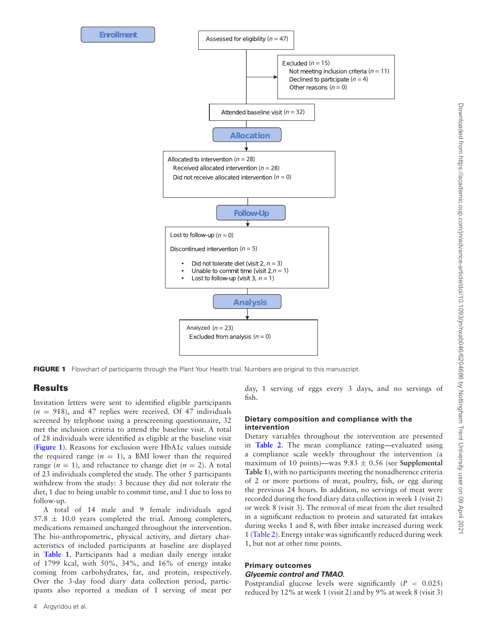<span id="page-3-0"></span>

**FIGURE 1** Flowchart of participants through the Plant Your Health trial. Numbers are original to this manuscript.

# **Results**

Invitation letters were sent to identified eligible participants  $(n = 918)$ , and 47 replies were received. Of 47 individuals screened by telephone using a prescreening questionnaire, 32 met the inclusion criteria to attend the baseline visit. A total of 28 individuals were identified as eligible at the baseline visit (**[Figure 1](#page-3-0)**). Reasons for exclusion were HbA1c values outside the required range  $(n = 1)$ , a BMI lower than the required range  $(n = 1)$ , and reluctance to change diet  $(n = 2)$ . A total of 23 individuals completed the study. The other 5 participants withdrew from the study: 3 because they did not tolerate the diet, 1 due to being unable to commit time, and 1 due to loss to follow-up.

A total of 14 male and 9 female individuals aged  $57.8 \pm 10.0$  years completed the trial. Among completers, medications remained unchanged throughout the intervention. The bio-anthropometric, physical activity, and dietary characteristics of included participants at baseline are displayed in **[Table 1](#page-4-0)**. Participants had a median daily energy intake of 1799 kcal, with 50%, 34%, and 16% of energy intake coming from carbohydrates, fat, and protein, respectively. Over the 3-day food diary data collection period, participants also reported a median of 1 serving of meat per

4 Argyridou et al.

day, 1 serving of eggs every 3 days, and no servings of fish.

#### **Dietary composition and compliance with the intervention**

Dietary variables throughout the intervention are presented in **[Table 2](#page-5-0)**. The mean compliance rating—evaluated using a compliance scale weekly throughout the intervention (a maximum of 10 points)—was 9.83 ± 0.56 (see **Supplemental Table 1**), with no participants meeting the nonadherence criteria of 2 or more portions of meat, poultry, fish, or egg during the previous 24 hours. In addition, no servings of meat were recorded during the food diary data collection in week 1 (visit 2) or week 8 (visit 3). The removal of meat from the diet resulted in a significant reduction to protein and saturated fat intakes during weeks 1 and 8, with fiber intake increased during week 1 [\(Table 2\)](#page-5-0). Energy intake was significantly reduced during week 1, but not at other time points.

#### **Primary outcomes** *Glycemic control and TMAO.*

Postprandial glucose levels were significantly (*P* < 0.025) reduced by 12% at week 1 (visit 2) and by 9% at week 8 (visit 3)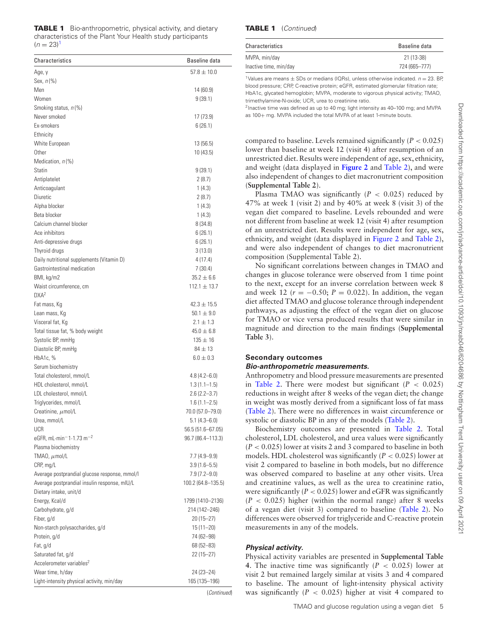<span id="page-4-0"></span>

|                | <b>TABLE 1</b> Bio-anthropometric, physical activity, and dietary |
|----------------|-------------------------------------------------------------------|
|                | characteristics of the Plant Your Health study participants       |
| $(n = 23)^{1}$ |                                                                   |

| Characteristics                                                          | Baseline data                      |
|--------------------------------------------------------------------------|------------------------------------|
| Age, y                                                                   | $57.8 \pm 10.0$                    |
| Sex, $n\left(\%\right)$                                                  |                                    |
| Men                                                                      | 14 (60.9)                          |
| Women                                                                    | 9(39.1)                            |
| Smoking status, n(%)                                                     |                                    |
| Never smoked                                                             | 17 (73.9)                          |
| Ex-smokers                                                               | 6(26.1)                            |
| Ethnicity                                                                |                                    |
| White European                                                           | 13 (56.5)                          |
| Other                                                                    | 10 (43.5)                          |
| Medication, n(%)                                                         |                                    |
| Statin                                                                   | 9(39.1)                            |
| Antiplatelet                                                             | 2(8.7)                             |
| Anticoagulant                                                            | 1(4.3)                             |
| Diuretic                                                                 | 2(8.7)                             |
| Alpha blocker                                                            | 1(4.3)                             |
| Beta blocker                                                             | 1(4.3)                             |
| Calcium channel blocker                                                  | 8(34.8)                            |
| Ace inhibitors                                                           | 6(26.1)                            |
| Anti-depressive drugs                                                    | 6(26.1)                            |
| Thyroid drugs                                                            | 3(13.0)                            |
| Daily nutritional supplements (Vitamin D)<br>Gastrointestinal medication | 4 (17.4)                           |
|                                                                          | 7 (30.4)                           |
| BMI, kg/m2<br>Waist circumference, cm                                    | $35.2 \pm 6.6$<br>$112.1 \pm 13.7$ |
| $DXA^2$                                                                  |                                    |
| Fat mass, Kg                                                             | $42.3 \pm 15.5$                    |
| Lean mass, Kg                                                            | $50.1 \pm 9.0$                     |
| Visceral fat, Kg                                                         | $2.1 \pm 1.3$                      |
| Total tissue fat, % body weight                                          | $45.0 \pm 6.8$                     |
| Systolic BP, mmHg                                                        | $135 \pm 16$                       |
| Diastolic BP, mmHg                                                       | $84 \pm 13$                        |
| HbA <sub>1c</sub> , $%$                                                  | $6.0 \pm 0.3$                      |
| Serum biochemistry                                                       |                                    |
| Total cholesterol, mmol/L                                                | $4.8(4.2 - 6.0)$                   |
| HDL cholesterol, mmol/L                                                  | $1.3(1.1-1.5)$                     |
| LDL cholesterol, mmol/L                                                  | $2.6(2.2 - 3.7)$                   |
| Triglycerides, mmol/L                                                    | $1.6(1.1 - 2.5)$                   |
| Creatinine, $\mu$ mol/L                                                  | 70.0 (57.0–79.0)                   |
| Urea, mmol/L                                                             | $5.1(4.3 - 6.0)$                   |
| UCR                                                                      | 56.5 (51.6-67.05)                  |
| eGFR, mL $\cdot$ min <sup>-1.1.73 m<sup>-2</sup></sup>                   | 96.7 (86.4-113.3)                  |
| Plasma biochemistry                                                      |                                    |
| TMAO, $\mu$ mol/L                                                        | $7.7(4.9 - 9.9)$                   |
| CRP, mg/L                                                                | $3.9(1.6 - 5.5)$                   |
| Average postprandial glucose response, mmol/l                            | $7.9(7.2 - 9.0)$                   |
| Average postprandial insulin response, mIU/L                             | 100.2 (64.8-135.5)                 |
| Dietary intake, unit/d                                                   |                                    |
| Energy, Kcal/d                                                           | 1799 (1410-2136)                   |
| Carbohydrate, g/d                                                        | 214 (142-246)                      |
| Fiber, g/d                                                               | $20(15 - 27)$                      |
| Non-starch polysaccharides, g/d                                          | $15(11 - 20)$                      |
| Protein, g/d                                                             | 74 (62-98)                         |
| Fat, g/d                                                                 | 68 (52-83)                         |
| Saturated fat, g/d                                                       | 22 (15–27)                         |
| Accelerometer variables <sup>2</sup>                                     |                                    |
| Wear time, h/day                                                         | 24 (23-24)                         |
| Light-intensity physical activity, min/day                               | 165 (135-196)                      |
|                                                                          | <i>Continued</i>                   |

#### **TABLE 1** (Continued)

| Characteristics        | Baseline data |
|------------------------|---------------|
| MVPA, min/day          | 21 (13-38)    |
| Inactive time, min/day | 724 (665-777) |

<span id="page-4-1"></span><sup>1</sup>Values are means  $\pm$  SDs or medians (IQRs), unless otherwise indicated.  $n = 23$ . BP, blood pressure; CRP, C-reactive protein; eGFR, estimated glomerular filtration rate; HbA1c, glycated hemoglobin; MVPA, moderate to vigorous physical activity; TMAO, trimethylamine-N-oxide; UCR, urea to creatinine ratio.

 $2$ Inactive time was defined as up to 40 mg; light intensity as 40–100 mg; and MVPA as 100+ mg. MVPA included the total MVPA of at least 1-minute bouts.

compared to baseline. Levels remained significantly  $(P < 0.025)$ lower than baseline at week 12 (visit 4) after resumption of an unrestricted diet. Results were independent of age, sex, ethnicity, and weight (data displayed in **[Figure 2](#page-7-0)** and [Table 2\)](#page-5-0), and were also independent of changes to diet macronutrient composition (**Supplemental Table 2**).

Plasma TMAO was significantly  $(P < 0.025)$  reduced by 47% at week 1 (visit 2) and by 40% at week 8 (visit 3) of the vegan diet compared to baseline. Levels rebounded and were not different from baseline at week 12 (visit 4) after resumption of an unrestricted diet. Results were independent for age, sex, ethnicity, and weight (data displayed in [Figure 2](#page-7-0) and [Table 2\)](#page-5-0), and were also independent of changes to diet macronutrient composition (Supplemental Table 2).

No significant correlations between changes in TMAO and changes in glucose tolerance were observed from 1 time point to the next, except for an inverse correlation between week 8 and week 12 ( $r = -0.50$ ;  $P = 0.022$ ). In addition, the vegan diet affected TMAO and glucose tolerance through independent pathways, as adjusting the effect of the vegan diet on glucose for TMAO or vice versa produced results that were similar in magnitude and direction to the main findings (**Supplemental Table 3**).

# **Secondary outcomes**

#### *Bio-anthropometric measurements.*

Anthropometry and blood pressure measurements are presented in [Table 2.](#page-5-0) There were modest but significant  $(P < 0.025)$ reductions in weight after 8 weeks of the vegan diet; the change in weight was mostly derived from a significant loss of fat mass [\(Table 2\)](#page-5-0). There were no differences in waist circumference or systolic or diastolic BP in any of the models [\(Table 2\)](#page-5-0).

Biochemistry outcomes are presented in [Table 2.](#page-5-0) Total cholesterol, LDL cholesterol, and urea values were significantly (*P* < 0.025) lower at visits 2 and 3 compared to baseline in both models. HDL cholesterol was significantly  $(P < 0.025)$  lower at visit 2 compared to baseline in both models, but no difference was observed compared to baseline at any other visits. Urea and creatinine values, as well as the urea to creatinine ratio, were significantly  $(P < 0.025)$  lower and eGFR was significantly (*P* < 0.025) higher (within the normal range) after 8 weeks of a vegan diet (visit 3) compared to baseline [\(Table 2\)](#page-5-0). No differences were observed for triglyceride and C-reactive protein measurements in any of the models.

# *Physical activity.*

Physical activity variables are presented in **Supplemental Table 4.** The inactive time was significantly  $(P < 0.025)$  lower at visit 2 but remained largely similar at visits 3 and 4 compared to baseline. The amount of light-intensity physical activity was significantly  $(P < 0.025)$  higher at visit 4 compared to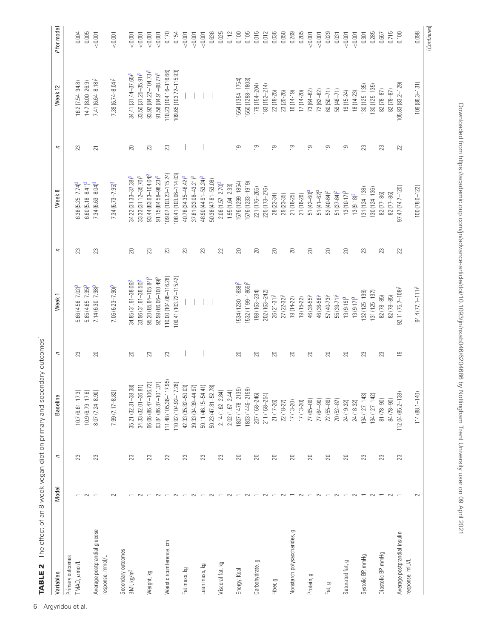| Variables                    | Model  | $\overline{\phantom{a}}$ | <b>Baseline</b>                                                         | п              | Week <sub>1</sub>               | n  | Week 8                             | п                       | Week 12                           | P for model |
|------------------------------|--------|--------------------------|-------------------------------------------------------------------------|----------------|---------------------------------|----|------------------------------------|-------------------------|-----------------------------------|-------------|
| Primary outcomes             |        |                          |                                                                         |                |                                 |    |                                    |                         |                                   |             |
| TMAO, µmol/L                 |        | 23                       | $10.7(6.61 - 17.3)$                                                     | 23             | $5.66$ $(4.56 - 7.02)^3$        | S. | $6.38(5.25 - 7.74)^2$              | 23                      | 16.2 (7.54-34.8)                  | 0.004       |
|                              |        |                          | 10.9 (6.79-17.6                                                         |                | $5.85(4.65 - 7.35)^3$           |    | $6.60(5.18 - 8.41)^2$              |                         | 14.7 (8.00-26.9)                  | 0.005       |
| Average postprandial glucose |        | 23                       | 8.07 (7.24-8.90                                                         | 20             | $7.14(6.30 - 7.98)^3$           | 23 | $7.34(6.63 - 8.04)^3$              | 21                      | 7.41 (6.64-8.18) <sup>3</sup>     | < 0.001     |
| response, mmol/L             |        |                          |                                                                         |                |                                 |    |                                    |                         |                                   |             |
|                              | $\sim$ |                          | 7.99 (7.17-8.82                                                         |                | $7.06$ (6.23-7.90) <sup>3</sup> |    | $7.34(6.73 - 7.95)^3$              |                         | $7.39(6.74 - 8.04)^3$             | < 0.001     |
| Secondary outcomes           |        |                          |                                                                         |                |                                 |    |                                    |                         |                                   |             |
| BMI, kg/m <sup>2</sup>       |        | 23                       | .38)<br>35.21 (32.31-38                                                 | $20\,$         | $34.85$ $(31.91 - 38.06)^3$     | 20 | $34.22$ (31.33-37.38) <sup>3</sup> | 20                      | 34.41 (31.44-37.65) <sup>3</sup>  | < 0.001     |
|                              |        |                          | 34.33 (32.01-36.81)                                                     |                | $33.96(31.61 - 36.50)^3$        |    | 33.33 (31.12-35.70) <sup>3</sup>   |                         | $33.50(31.25 - 35.91)^3$          | < 0.001     |
| Weight, kg                   |        | 23                       | 96.06 (86.47-106.72)                                                    | 23             | $95.20(85.64 - 105.84)^3$       | 23 | 93.44 (83.93-104.04) <sup>3</sup>  | 23                      | 93.92 (84.22-104.73) <sup>3</sup> | < 0.001     |
|                              |        |                          | 93.84 (86.87-101.37)                                                    |                | $92.99(86.06-100.49)^3$         |    | $91.15(84.58 - 98.23)^3$           |                         | $91.58 (84.91 - 98.77)^3$         | < 0.001     |
| Waist circumference, cm      |        | 22                       | (7.95)<br>111.48 (105.36-1                                              | 23             | 110.00 (104.06-116.28)          | 23 | $109.07(103.23 - 115.24)$          | 23                      | 110.23 (104.16-116.66)            | 0.170       |
|                              |        |                          | 7.26)<br>10.92 (104.92-1                                                |                | 09.41 (103.72-115.42)           |    | 08.41 (103.06-114.03)              |                         | 109.65 (103.72-115.93)            | 0.154       |
| Fat mass, kg                 |        | 23                       | 42.33 (35.82-50.03)                                                     |                |                                 | 23 | $40.78(34.35 - 48.42)^3$           |                         |                                   | < 0.001     |
|                              |        |                          | 39.33 (34.39-44.97)                                                     |                |                                 |    | 37.81 (33.08-43.21) <sup>3</sup>   |                         |                                   | < 0.001     |
| Lean mass, kg                |        | 23                       | 50.11 (46.15-54.41)                                                     |                |                                 | ಔ  | 48.90 (44.91 - 53.24) <sup>3</sup> |                         |                                   | < 0.001     |
|                              |        |                          |                                                                         |                |                                 |    | 50.38 (47.81-53.08)                |                         |                                   | 0.636       |
| Visceral fat, kg             |        | 23                       | $50.23 (47.81 - 52.78)$<br>$2.14 (1.62 - 2.84)$<br>$2.02 (1.67 - 2.44)$ |                |                                 | 22 | $2.06(1.57 - 2.70)^2$              |                         |                                   | 0.025       |
|                              |        |                          |                                                                         |                |                                 |    | $1.95(1.64 - 2.33)$                |                         |                                   | 0.112       |
| Energy, Kcal                 |        | 20                       | 1807 (1478–2135)<br>1803 (1446–2159)                                    | 20             | 534 (1230-1838) <sup>2</sup>    | 20 | 1576 (1299-1854)                   | $\overline{\mathbf{e}}$ | 1554 (1354-1754)                  | 0.100       |
|                              |        |                          |                                                                         |                | $1532(1199 - 1865)^2$           |    | 576 (1233-1919)                    |                         | 550 (1298-1803)                   | 0.105       |
| Carbohydrate, g              |        | 20                       | 207 (168-246)                                                           | 20             | 198 (163-234)                   | 20 | 221 (176-265)                      | σ                       | $179(154 - 204)$                  | 0.015       |
|                              |        |                          | 211 (168-254)                                                           |                | 202 (163-242)                   |    | 225 (173-276)                      |                         | 183 (152-214)                     | 0.012       |
| Fiber, g                     |        | 20                       | 21 (17-26)                                                              | 20             | $26(21-31)^2$                   | 20 | 28 (22-34)                         | $\overline{9}$          | $22(18-25)$                       | 0.036       |
|                              |        |                          | 22 (18-27)                                                              |                | 27 (22-32) <sup>2</sup>         |    | 29 (23-35)                         |                         | 23 (20-26)                        | 0.050       |
| Nonstarch polysaccharides, g |        | $\mathbb{Z}$             | 17 (13-20)                                                              | 20             | $19(14-22)$                     | 20 | $21(16-25)$                        | တ                       | $16(14-19)$                       | 0.269       |
|                              |        |                          | $17(13-20)$                                                             |                | 19 (15-22)                      |    | 21 (16-26)                         |                         | $17(14-20)$                       | 0.285       |
| Protein, g                   |        | 20                       | 77 (65-89)                                                              | 20             | 46 (38-55) <sup>3</sup>         | 20 | $51(42 - 60)^3$                    | თ                       | 73 (64-82)                        | < 0.001     |
|                              |        |                          | 77 (64-90)                                                              |                | 46 (36-56) <sup>3</sup>         |    | $51(41-62)^3$                      |                         | 72 (62-82)                        | < 0.001     |
| Fat, g                       |        | 20                       | $72(55 - 89)$                                                           | 20             | $57(40-73)^2$                   | 20 | $52(40-64)^2$                      | თ                       | $60(50 - 71)$                     | 0.029       |
|                              |        |                          | 70 (52-87)                                                              |                | $55(39-71)^2$                   |    | $51 (37 - 64)^2$                   |                         | $59(46 - 71)$                     | 0.031       |
| Saturated fat, g             |        | 20                       | 24 (19-32)                                                              | 20             | $13(9-19)^3$                    | 20 | $13(10-17)^3$                      | $\overline{9}$          | $19(15-24)$                       | < 0.001     |
|                              |        |                          | 24 (18-32)                                                              |                | $13(9-17)^3$                    |    | $13(9-18)^3$                       |                         | 18 (14-23)                        | < 0.001     |
| Systolic BP, mmHg            |        | $\mathbb{S}^2$           | $134(127 - 143)$                                                        | 23             | 132 (125-139)                   | 23 | 131 (124-138)                      | 23                      | $(30(125-135))$                   | 0.301       |
|                              |        |                          | 34 (127-142)                                                            |                | $ 31(125-137) $                 |    | 130 (124-136)                      |                         | 130 (125-135)                     | 0.285       |
| Diastolic BP, mmHg           |        | 23                       | 81 (78-90)                                                              | 23             | 82 (78-85)                      | 23 | 82 (77-86)                         | 23                      | $82(78 - 87)$                     | 0.667       |
|                              |        |                          | 84 (78-90)                                                              |                | 82 (78-85)                      |    | 82 (77-86)                         |                         | $82(78 - 87)$                     | 0.715       |
| Average postprandial insulin |        | 23                       | 112.04 (85.2-138                                                        | $\overline{9}$ | $92.11(75.7-108)^2$             | 22 | $97.47(74.7 - 120$                 | 22                      | 105.83 (83.2-129)                 | 0.100       |
| response, mIU/L              | $\sim$ |                          | 114 (88.1-140                                                           |                | $94.4$ $(77.1 - 111)^2$         |    | $100(78.0 - 122)$                  |                         | $109(86.3 - 131)$                 | 0.098       |
|                              |        |                          |                                                                         |                |                                 |    |                                    |                         |                                   |             |

<span id="page-5-0"></span>TABLE 2 The effect of an 8-week vegan diet on primary and secondary outcomes<sup>1</sup> **TABLE 2** The effect of an 8-week vegan diet on primary and secondary outcome[s1](#page-6-0)

(Continued)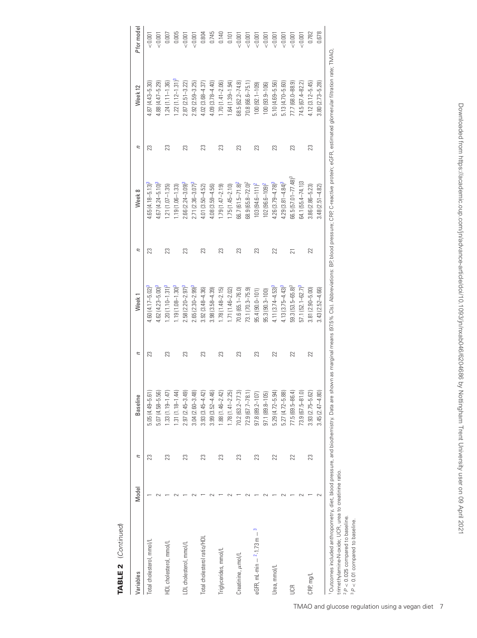| Total cholesterol, mmol/L       |    | <b>Baseline</b>     | и  | Week <sub>1</sub>        | Ξ  | Week 8                  | Ξ  | Week 12               | P for model  |
|---------------------------------|----|---------------------|----|--------------------------|----|-------------------------|----|-----------------------|--------------|
|                                 | 23 | $5.05(4.49 - 5.61)$ | 23 | $60(4.17 - 5.02)^3$      | 23 | $65(4.18 - 5.13)^3$     | 23 | $.87(4.43 - 5.30)$    | $\leq 0.001$ |
|                                 |    | $5.07(4.58 - 5.56)$ |    | $.62(4.23 - 5.00)^3$     |    | $-67(4.24 - 5.10)^3$    |    | $4.88(4.47 - 5.29)$   | $-0.001$     |
| HDL cholesterol, mmol/L         | 23 | $1.33(1.19 - 1.47)$ | 23 | $-20(1.10-1.31)^3$       | 23 | $.21(1.07 - 1.35)$      | 23 | $1.24(1.11 - 1.36)$   | 0.00         |
|                                 |    | $.31(1.18 - 1.44)$  |    | $19(1.08 - 1.30)^3$      |    | $1.19(1.06 - 1.33)$     |    | $1.22(1.12 - 1.31)^3$ | 0.005        |
| LDL cholesterol, mmol/L         | 23 | $2.97(2.45 - 3.49)$ | 23 | $2.58(2.20 - 2.97)^3$    | 23 | $2.66(2.24 - 3.09)^3$   | 23 | $2.87(2.51 - 3.22)$   | 0.00         |
|                                 |    | $3.04(2.60 - 3.48)$ |    | $2.65(2.30 - 2.99)^3$    |    | $2.71(2.36 - 3.07)^3$   |    | $2.92(2.59 - 3.25)$   | < 0.001      |
| Total cholesterol ratio/HDL     | 23 | $3.93(3.45 - 4.42)$ | 23 | $.92(3.48 - 4.36)$       | 23 | $4.01(3.50 - 4.52)$     | 23 | $4.02(3.68 - 4.37)$   | 0.804        |
|                                 |    | $3.99(3.52 - 4.46)$ |    | $3.98(3.58 - 4.39)$      |    | 4.08 (3.59-4.56)        |    | $4.09(3.78 - 4.40)$   | 0.745        |
| Triglycerides, mmol/L           | 23 | $1.88(1.46 - 2.42)$ | 23 | $1.78(1.48 - 2.15)$      | ಔ  | $1.79(1.47 - 2.19)$     | 23 | $1.70(1.41 - 2.06)$   | 0.140        |
|                                 |    | $1.78(1.41 - 2.25)$ |    | $1.71(1.46 - 2.02)$      |    | $1.75(1.45 - 2.10)$     |    | 1.64 (1.39-1.94)      | 0.101        |
| Creatinine, umol/L              | 23 | $70.2$ (63.2-77.3)  | 23 | 70.6 (65.1-76.0)         | 23 | $66.7(61.5 - 71.8)^2$   | 23 | $68.5(62.2 - 74.8)$   | < 0.001      |
|                                 |    | $72.9(67.7 - 78.1)$ |    | 73.1 (70.3-75.9)         |    | $68.9(65.8 - 72.0)^2$   |    | 70.8 (66.6-75.1       | < 0.001      |
| eGFR, mL·min $ 2 - 1.73$ m $ 3$ | 23 | $97.8(89.2 - 107)$  | 23 | $95.4(90.0 - 101)$       | ಔ  | $103(94.6 - 111)^2$     | 23 | 100 (92.1–109)        | $-0.00$      |
|                                 |    | $97.1(89.8 - 105)$  |    | 95.3 (90.3-100)          |    | $102(96.6 - 109)^2$     |    | $100(93.9-106)$       | $-0.007$     |
| Urea, mmol/L                    | 22 | $5.29(4.72 - 5.94)$ | 22 | $4.11(3.74 - 4.53)^3$    | 22 | $4.26(3.79 - 4.78)^3$   | 23 | $5.10(4.69 - 5.56)$   | $-0.00$      |
|                                 |    | $5.27(4.72 - 5.88)$ |    | $4.13(3.75 - 4.43)^3$    |    | $4.29(3.81 - 4.84)^3$   |    | $5.13(4.70 - 5.60)$   | < 0.001      |
| S                               | 22 | 77.5 (69.5-86.4)    | 22 | $59.3$ $(53.5 - 65.8)^3$ | ត  | $66.5(57.01 - 77.48)^3$ | 23 | 77.7 (68.0-88.9)      | $-0.00$      |
|                                 |    | $73.9(67.5 - 81.0)$ |    | $57.1$ $(52.1 - 62.7)^3$ |    | 64.1 (55.4–74.1)3       |    | 74.5 (67.4-82.2)      | $-0.00$      |
| CRP, mg/L                       | 23 | $3.93(2.75 - 5.62)$ | 22 | $3.81(2.90 - 5.00)$      | 22 | $3.86(2.86 - 5.23)$     | 23 | $4.12(3.12 - 5.45)$   | 0.782        |
|                                 |    | $3.45(2.47 - 4.80)$ |    | $3.43$ $(2.52 - 4.66)$   |    | $3.48(2.51 - 4.82)$     |    | $3.80(2.73 - 5.28)$   | 0.678        |

trimethylamine-N-oxide; UCR, urea to creatinine ratio.

וווווופוווקאפוווווופ-וירטעני, טכרי, טופפ<br>2 בין 2025 compared to baseline.<br>3 בין 2010 compared to baseline.  $2P < 0.025$  compared to baseline.

 $3P < 0.01$  compared to baseline.

# <span id="page-6-2"></span><span id="page-6-1"></span><span id="page-6-0"></span>TABLE 2 (Continued) **TABLE 2** (Continued)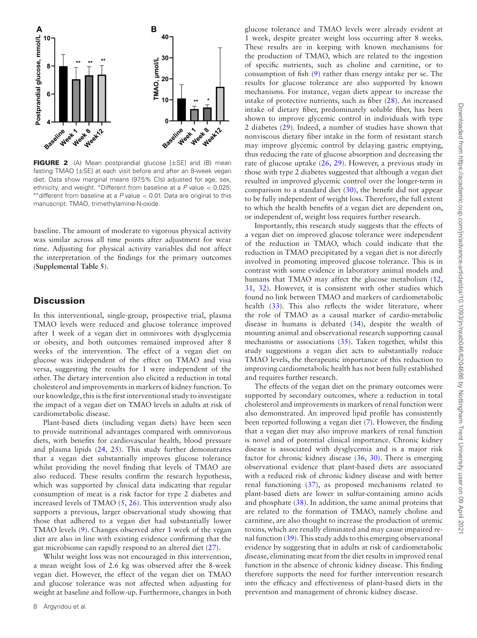<span id="page-7-0"></span>

**FIGURE 2** (A) Mean postprandial glucose [±SE] and (B) mean fasting TMAO [±SE] at each visit before and after an 8-week vegan diet. Data show marginal means (97.5% CIs) adjusted for age, sex, ethnicity, and weight. \*Different from baseline at a  $P$  value  $< 0.025$ ;  $*$ \*different from baseline at a P value < 0.01. Data are original to this manuscript. TMAO, trimethylamine-N-oxide.

baseline. The amount of moderate to vigorous physical activity was similar across all time points after adjustment for wear time. Adjusting for physical activity variables did not affect the interpretation of the findings for the primary outcomes (**Supplemental Table 5**).

#### **Discussion**

In this interventional, single-group, prospective trial, plasma TMAO levels were reduced and glucose tolerance improved after 1 week of a vegan diet in omnivores with dysglycemia or obesity, and both outcomes remained improved after 8 weeks of the intervention. The effect of a vegan diet on glucose was independent of the effect on TMAO and visa versa, suggesting the results for 1 were independent of the other. The dietary intervention also elicited a reduction in total cholesterol and improvements in markers of kidney function. To our knowledge, this is the first interventional study to investigate the impact of a vegan diet on TMAO levels in adults at risk of cardiometabolic disease.

Plant-based diets (including vegan diets) have been seen to provide nutritional advantages compared with omnivorous diets, with benefits for cardiovascular health, blood pressure and plasma lipids [\(24,](#page-9-1) [25\)](#page-9-2). This study further demonstrates that a vegan diet substantially improves glucose tolerance whilst providing the novel finding that levels of TMAO are also reduced. These results confirm the research hypothesis, which was supported by clinical data indicating that regular consumption of meat is a risk factor for type 2 diabetes and increased levels of TMAO  $(5, 26)$  $(5, 26)$  $(5, 26)$ . This intervention study also supports a previous, larger observational study showing that those that adhered to a vegan diet had substantially lower TMAO levels [\(9\)](#page-8-6). Changes observed after 1 week of the vegan diet are also in line with existing evidence confirming that the gut microbiome can rapidly respond to an altered diet [\(27\)](#page-9-4).

Whilst weight loss was not encouraged in this intervention, a mean weight loss of 2.6 kg was observed after the 8-week vegan diet. However, the effect of the vegan diet on TMAO and glucose tolerance was not affected when adjusting for weight at baseline and follow-up. Furthermore, changes in both

glucose tolerance and TMAO levels were already evident at 1 week, despite greater weight loss occurring after 8 weeks. These results are in keeping with known mechanisms for the production of TMAO, which are related to the ingestion of specific nutrients, such as choline and carnitine, or to consumption of fish [\(9\)](#page-8-6) rather than energy intake per se. The results for glucose tolerance are also supported by known mechanisms. For instance, vegan diets appear to increase the intake of protective nutrients, such as fiber [\(28\)](#page-9-5). An increased intake of dietary fiber, predominately soluble fiber, has been shown to improve glycemic control in individuals with type 2 diabetes [\(29\)](#page-9-6). Indeed, a number of studies have shown that nonviscous dietary fiber intake in the form of resistant starch may improve glycemic control by delaying gastric emptying, thus reducing the rate of glucose absorption and decreasing the rate of glucose uptake [\(26,](#page-9-3) [29\)](#page-9-6). However, a previous study in those with type 2 diabetes suggested that although a vegan diet resulted in improved glycemic control over the longer-term in comparison to a standard diet  $(30)$ , the benefit did not appear to be fully independent of weight loss. Therefore, the full extent to which the health benefits of a vegan diet are dependent on, or independent of, weight loss requires further research.

Importantly, this research study suggests that the effects of a vegan diet on improved glucose tolerance were independent of the reduction in TMAO, which could indicate that the reduction in TMAO precipitated by a vegan diet is not directly involved in promoting improved glucose tolerance. This is in contrast with some evidence in laboratory animal models and humans that TMAO may affect the glucose metabolism  $(12, 12)$  $(12, 12)$ [31,](#page-9-8) [32\)](#page-9-9). However, it is consistent with other studies which found no link between TMAO and markers of cardiometabolic health [\(33\)](#page-9-10). This also reflects the wider literature, where the role of TMAO as a causal marker of cardio-metabolic disease in humans is debated [\(34\)](#page-9-11), despite the wealth of mounting animal and observational research supporting causal mechanisms or associations [\(35\)](#page-9-12). Taken together, whilst this study suggestions a vegan diet acts to substantially reduce TMAO levels, the therapeutic importance of this reduction to improving cardiometabolic health has not been fully established and requires further research.

The effects of the vegan diet on the primary outcomes were supported by secondary outcomes, where a reduction in total cholesterol and improvements in markers of renal function were also demonstrated. An improved lipid profile has consistently been reported following a vegan diet [\(7\)](#page-8-18). However, the finding that a vegan diet may also improve markers of renal function is novel and of potential clinical importance. Chronic kidney disease is associated with dysglycemia and is a major risk factor for chronic kidney disease [\(36,](#page-9-13) [30\)](#page-9-7). There is emerging observational evidence that plant-based diets are associated with a reduced risk of chronic kidney disease and with better renal functioning [\(37\)](#page-9-14), as proposed mechanisms related to plant-based diets are lower in sulfur-containing amino acids and phosphate [\(38\)](#page-9-15). In addition, the same animal proteins that are related to the formation of TMAO, namely choline and carnitine, are also thought to increase the production of uremic toxins, which are renally eliminated and may cause impaired renal function [\(39\)](#page-9-16). This study adds to this emerging observational evidence by suggesting that in adults at risk of cardiometabolic disease, eliminating meat from the diet results in improved renal function in the absence of chronic kidney disease. This finding therefore supports the need for further intervention research into the efficacy and effectiveness of plant-based diets in the prevention and management of chronic kidney disease.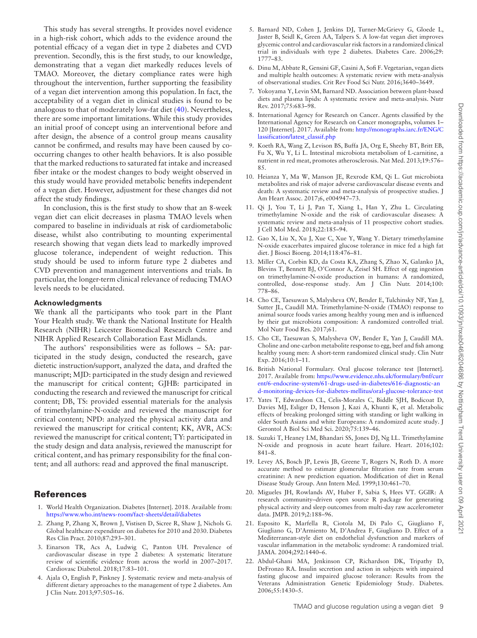This study has several strengths. It provides novel evidence in a high-risk cohort, which adds to the evidence around the potential efficacy of a vegan diet in type 2 diabetes and CVD prevention. Secondly, this is the first study, to our knowledge, demonstrating that a vegan diet markedly reduces levels of TMAO. Moreover, the dietary compliance rates were high throughout the intervention, further supporting the feasibility of a vegan diet intervention among this population. In fact, the acceptability of a vegan diet in clinical studies is found to be analogous to that of moderately low-fat diet [\(40\)](#page-9-17). Nevertheless, there are some important limitations. While this study provides an initial proof of concept using an interventional before and after design, the absence of a control group means causality cannot be confirmed, and results may have been caused by cooccurring changes to other health behaviors. It is also possible that the marked reductions to saturated fat intake and increased fiber intake or the modest changes to body weight observed in this study would have provided metabolic benefits independent of a vegan diet. However, adjustment for these changes did not affect the study findings.

In conclusion, this is the first study to show that an 8-week vegan diet can elicit decreases in plasma TMAO levels when compared to baseline in individuals at risk of cardiometabolic disease, whilst also contributing to mounting experimental research showing that vegan diets lead to markedly improved glucose tolerance, independent of weight reduction. This study should be used to inform future type 2 diabetes and CVD prevention and management interventions and trials. In particular, the longer-term clinical relevance of reducing TMAO levels needs to be elucidated.

#### **Acknowledgments**

We thank all the participants who took part in the Plant Your Health study. We thank the National Institute for Health Research (NIHR) Leicester Biomedical Research Centre and NIHR Applied Research Collaboration East Midlands.

The authors' responsibilities were as follows – SA: participated in the study design, conducted the research, gave dietetic instruction/support, analyzed the data, and drafted the manuscript; MJD: participated in the study design and reviewed the manuscript for critical content; GJHB: participated in conducting the research and reviewed the manuscript for critical content; DB, TS: provided essential materials for the analysis of trimethylamine-N-oxide and reviewed the manuscript for critical content; NPD: analyzed the physical activity data and reviewed the manuscript for critical content; KK, AVR, ACS: reviewed the manuscript for critical content; TY: participated in the study design and data analysis, reviewed the manuscript for critical content, and has primary responsibility for the final content; and all authors: read and approved the final manuscript.

# **References**

- <span id="page-8-0"></span>1. World Health Organization. Diabetes [Internet]. 2018. Available from: <https://www.who.int/news-room/fact-sheets/detail/diabetes>
- <span id="page-8-1"></span>2. Zhang P, Zhang X, Brown J, Vistisen D, Sicree R, Shaw J, Nichols G. Global healthcare expenditure on diabetes for 2010 and 2030. Diabetes Res Clin Pract. 2010;87:293–301.
- <span id="page-8-2"></span>3. Einarson TR, Acs A, Ludwig C, Panton UH. Prevalence of cardiovascular disease in type 2 diabetes: A systematic literature review of scientific evidence from across the world in 2007–2017. Cardiovasc Diabetol. 2018;17:83–101.
- <span id="page-8-3"></span>4. Ajala O, English P, Pinkney J. Systematic review and meta-analysis of different dietary approaches to the management of type 2 diabetes. Am J Clin Nutr. 2013;97:505–16.
- <span id="page-8-4"></span>5. Barnard ND, Cohen J, Jenkins DJ, Turner-McGrievy G, Gloede L, Jaster B, Seidl K, Green AA, Talpers S. A low-fat vegan diet improves glycemic control and cardiovascular risk factors in a randomized clinical trial in individuals with type 2 diabetes. Diabetes Care. 2006;29: 1777–83.
- 6. Dinu M, Abbate R, Gensini GF, Casini A, Sofi F. Vegetarian, vegan diets and multiple health outcomes: A systematic review with meta-analysis of observational studies. Crit Rev Food Sci Nutr. 2016;3640–3649.
- <span id="page-8-18"></span>7. Yokoyama Y, Levin SM, Barnard ND. Association between plant-based diets and plasma lipids: A systematic review and meta-analysis. Nutr Rev. 2017;75:683–98.
- <span id="page-8-5"></span>8. International Agency for Research on Cancer. Agents classified by the International Agency for Research on Cancer monographs, volumes 1– [120 \[Internet\]. 2017. Available from:](http://monographs.iarc.fr/ENG/Classification/latest_classif.php) http://monographs.iarc.fr/ENG/C lassification/latest\_classif.php
- <span id="page-8-6"></span>9. Koeth RA, Wang Z, Levison BS, Buffa JA, Org E, Sheehy BT, Britt EB, Fu X, Wu Y, Li L. Intestinal microbiota metabolism of L-carnitine, a nutrient in red meat, promotes atherosclerosis. Nat Med. 2013;19:576– 85.
- <span id="page-8-7"></span>10. Heianza Y, Ma W, Manson JE, Rexrode KM, Qi L. Gut microbiota metabolites and risk of major adverse cardiovascular disease events and death: A systematic review and meta-analysis of prospective studies. J Am Heart Assoc. 2017;6, e004947–73.
- <span id="page-8-8"></span>11. Qi J, You T, Li J, Pan T, Xiang L, Han Y, Zhu L. Circulating trimethylamine N-oxide and the risk of cardiovascular diseases: A systematic review and meta-analysis of 11 prospective cohort studies. J Cell Mol Med. 2018;22:185–94.
- <span id="page-8-9"></span>12. Gao X, Liu X, Xu J, Xue C, Xue Y, Wang Y. Dietary trimethylamine N-oxide exacerbates impaired glucose tolerance in mice fed a high fat diet. J Biosci Bioeng. 2014;118:476–81.
- <span id="page-8-10"></span>13. Miller CA, Corbin KD, da Costa KA, Zhang S, Zhao X, Galanko JA, Blevins T, Bennett BJ, O'Connor A, Zeisel SH. Effect of egg ingestion on trimethylamine-N-oxide production in humans: A randomized, controlled, dose-response study. Am J Clin Nutr. 2014;100: 778–86.
- 14. Cho CE, Taesuwan S, Malysheva OV, Bender E, Tulchinsky NF, Yan J, Sutter JL, Caudill MA. Trimethylamine-N-oxide (TMAO) response to animal source foods varies among healthy young men and is influenced by their gut microbiota composition: A randomized controlled trial. Mol Nutr Food Res. 2017;61.
- 15. Cho CE, Taesuwan S, Malysheva OV, Bender E, Yan J, Caudill MA. Choline and one-carbon metabolite response to egg, beef and fish among healthy young men: A short-term randomized clinical study. Clin Nutr Exp. 2016;10:1–11.
- <span id="page-8-11"></span>16. British National Formulary. Oral glucose tolerance test [Internet]. 2017. Available from: https://www.evidence.nhs.uk/formulary/bnf/curr ent/6-endocrine-system/61-drugs-used-in-diabetes/616-diagnostic-an [d-monitoring-devices-for-diabetes-mellitus/oral-glucose-tolerance-test](https://www.evidence.nhs.uk/formulary/bnf/current/6-endocrine-system/61-drugs-used-in-diabetes/616-diagnostic-and-monitoring-devices-for-diabetes-mellitus/oral-glucose-tolerance-test)
- <span id="page-8-12"></span>17. Yates T, Edwardson CL, Celis-Morales C, Biddle SJH, Bodicoat D, Davies MJ, Esliger D, Henson J, Kazi A, Khunti K, et al. Metabolic effects of breaking prolonged sitting with standing or light walking in older South Asians and white Europeans: A randomized acute study. J Gerontol A Biol Sci Med Sci. 2020;75:139–46.
- <span id="page-8-13"></span>18. Suzuki T, Heaney LM, Bhandari SS, Jones DJ, Ng LL. Trimethylamine N-oxide and prognosis in acute heart failure. Heart. 2016;102: 841–8.
- <span id="page-8-14"></span>19. Levey AS, Bosch JP, Lewis JB, Greene T, Rogers N, Roth D. A more accurate method to estimate glomerular filtration rate from serum creatinine: A new prediction equation. Modification of diet in Renal Disease Study Group. Ann Intern Med. 1999;130:461–70.
- <span id="page-8-15"></span>20. Migueles JH, Rowlands AV, Huber F, Sabia S, Hees VT. GGIR: A research community–driven open source R package for generating physical activity and sleep outcomes from multi-day raw accelerometer data. JMPB. 2019;2:188–96.
- <span id="page-8-16"></span>21. Esposito K, Marfella R, Ciotola M, Di Palo C, Giugliano F, Giugliano G, D'Armiento M, D'Andrea F, Giugliano D. Effect of a Mediterranean-style diet on endothelial dysfunction and markers of vascular inflammation in the metabolic syndrome: A randomized trial. JAMA. 2004;292:1440–6.
- <span id="page-8-17"></span>22. Abdul-Ghani MA, Jenkinson CP, Richardson DK, Tripathy D, DeFronzo RA. Insulin secretion and action in subjects with impaired fasting glucose and impaired glucose tolerance: Results from the Veterans Administration Genetic Epidemiology Study. Diabetes. 2006;55:1430–5.